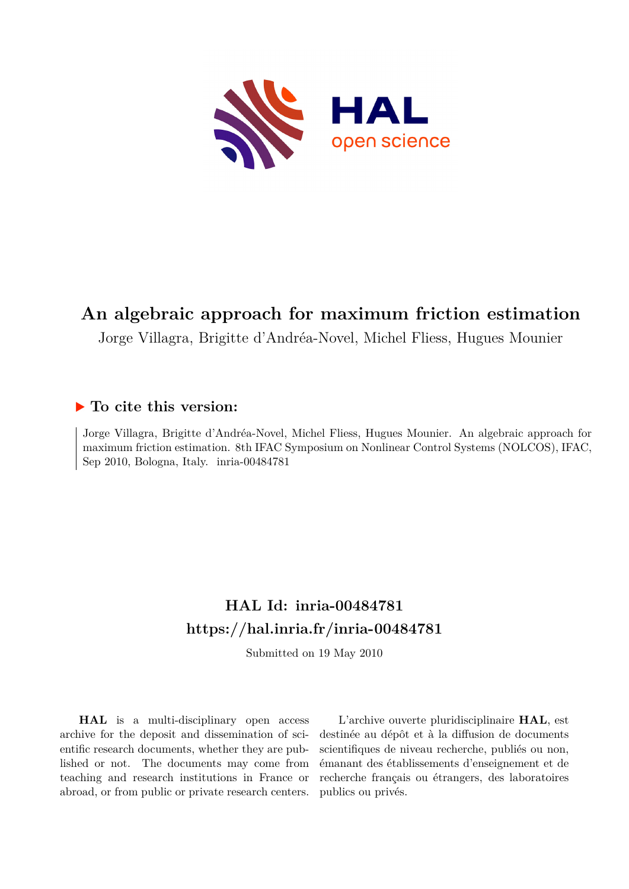

# **An algebraic approach for maximum friction estimation**

Jorge Villagra, Brigitte d'Andréa-Novel, Michel Fliess, Hugues Mounier

# **To cite this version:**

Jorge Villagra, Brigitte d'Andréa-Novel, Michel Fliess, Hugues Mounier. An algebraic approach for maximum friction estimation. 8th IFAC Symposium on Nonlinear Control Systems (NOLCOS), IFAC, Sep 2010, Bologna, Italy.  $inria-00484781$ 

# **HAL Id: inria-00484781 <https://hal.inria.fr/inria-00484781>**

Submitted on 19 May 2010

**HAL** is a multi-disciplinary open access archive for the deposit and dissemination of scientific research documents, whether they are published or not. The documents may come from teaching and research institutions in France or abroad, or from public or private research centers.

L'archive ouverte pluridisciplinaire **HAL**, est destinée au dépôt et à la diffusion de documents scientifiques de niveau recherche, publiés ou non, émanant des établissements d'enseignement et de recherche français ou étrangers, des laboratoires publics ou privés.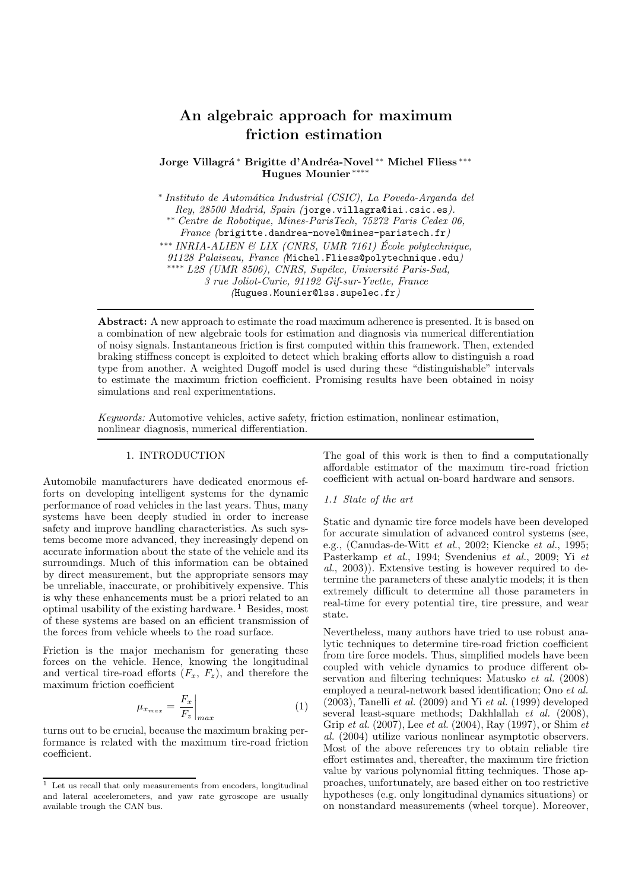# An algebraic approach for maximum friction estimation

Jorge Villagrá\* Brigitte d'Andréa-Novel \*\* Michel Fliess \*\*\* Hugues Mounier <sup>\*</sup>\*

∗ *Instituto de Autom´atica Industrial (CSIC), La Poveda-Arganda del Rey, 28500 Madrid, Spain (*jorge.villagra@iai.csic.es*).* ∗∗ *Centre de Robotique, Mines-ParisTech, 75272 Paris Cedex 06, France (*brigitte.dandrea-novel@mines-paristech.fr*)* ∗∗∗ *INRIA-ALIEN & LIX (CNRS, UMR 7161) Ecole polytechnique, ´ 91128 Palaiseau, France (*Michel.Fliess@polytechnique.edu*)* ∗∗∗∗ *L2S (UMR 8506), CNRS, Sup´elec, Universit´e Paris-Sud, 3 rue Joliot-Curie, 91192 Gif-sur-Yvette, France (*Hugues.Mounier@lss.supelec.fr*)*

Abstract: A new approach to estimate the road maximum adherence is presented. It is based on a combination of new algebraic tools for estimation and diagnosis via numerical differentiation of noisy signals. Instantaneous friction is first computed within this framework. Then, extended braking stiffness concept is exploited to detect which braking efforts allow to distinguish a road type from another. A weighted Dugoff model is used during these "distinguishable" intervals to estimate the maximum friction coefficient. Promising results have been obtained in noisy simulations and real experimentations.

*Keywords:* Automotive vehicles, active safety, friction estimation, nonlinear estimation, nonlinear diagnosis, numerical differentiation.

#### 1. INTRODUCTION

Automobile manufacturers have dedicated enormous efforts on developing intelligent systems for the dynamic performance of road vehicles in the last years. Thus, many systems have been deeply studied in order to increase safety and improve handling characteristics. As such systems become more advanced, they increasingly depend on accurate information about the state of the vehicle and its surroundings. Much of this information can be obtained by direct measurement, but the appropriate sensors may be unreliable, inaccurate, or prohibitively expensive. This is why these enhancements must be a priori related to an optimal usability of the existing hardware.<sup>1</sup> Besides, most of these systems are based on an efficient transmission of the forces from vehicle wheels to the road surface.

Friction is the major mechanism for generating these forces on the vehicle. Hence, knowing the longitudinal and vertical tire-road efforts  $(F_x, F_z)$ , and therefore the maximum friction coefficient

$$
\mu_{x_{max}} = \frac{F_x}{F_z}\bigg|_{max} \tag{1}
$$

turns out to be crucial, because the maximum braking performance is related with the maximum tire-road friction coefficient.

The goal of this work is then to find a computationally affordable estimator of the maximum tire-road friction coefficient with actual on-board hardware and sensors.

#### *1.1 State of the art*

Static and dynamic tire force models have been developed for accurate simulation of advanced control systems (see, e.g., (Canudas-de-Witt *et al.*, 2002; Kiencke *et al.*, 1995; Pasterkamp *et al.*, 1994; Svendenius *et al.*, 2009; Yi *et al.*, 2003)). Extensive testing is however required to determine the parameters of these analytic models; it is then extremely difficult to determine all those parameters in real-time for every potential tire, tire pressure, and wear state.

Nevertheless, many authors have tried to use robust analytic techniques to determine tire-road friction coefficient from tire force models. Thus, simplified models have been coupled with vehicle dynamics to produce different observation and filtering techniques: Matusko *et al.* (2008) employed a neural-network based identification; Ono *et al.* (2003), Tanelli *et al.* (2009) and Yi *et al.* (1999) developed several least-square methods; Dakhlallah *et al.* (2008), Grip *et al.* (2007), Lee *et al.* (2004), Ray (1997), or Shim *et al.* (2004) utilize various nonlinear asymptotic observers. Most of the above references try to obtain reliable tire effort estimates and, thereafter, the maximum tire friction value by various polynomial fitting techniques. Those approaches, unfortunately, are based either on too restrictive hypotheses (e.g. only longitudinal dynamics situations) or on nonstandard measurements (wheel torque). Moreover,

 $\frac{1}{1}$  Let us recall that only measurements from encoders, longitudinal and lateral accelerometers, and yaw rate gyroscope are usually available trough the CAN bus.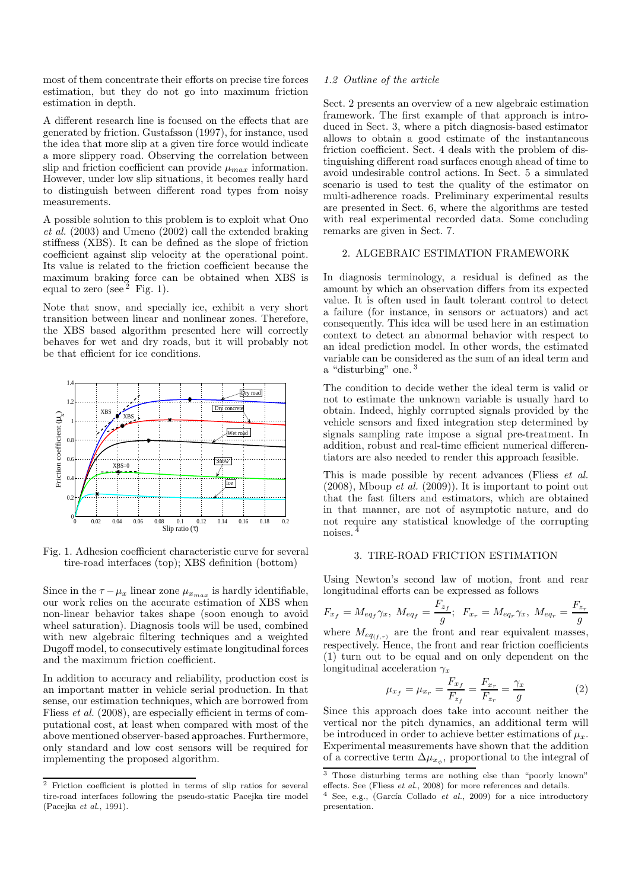most of them concentrate their efforts on precise tire forces estimation, but they do not go into maximum friction estimation in depth.

A different research line is focused on the effects that are generated by friction. Gustafsson (1997), for instance, used the idea that more slip at a given tire force would indicate a more slippery road. Observing the correlation between slip and friction coefficient can provide  $\mu_{max}$  information. However, under low slip situations, it becomes really hard to distinguish between different road types from noisy measurements.

A possible solution to this problem is to exploit what Ono *et al.* (2003) and Umeno (2002) call the extended braking stiffness (XBS). It can be defined as the slope of friction coefficient against slip velocity at the operational point. Its value is related to the friction coefficient because the maximum braking force can be obtained when XBS is equal to zero (see  $2$  Fig. 1).

Note that snow, and specially ice, exhibit a very short transition between linear and nonlinear zones. Therefore, the XBS based algorithm presented here will correctly behaves for wet and dry roads, but it will probably not be that efficient for ice conditions.



Fig. 1. Adhesion coefficient characteristic curve for several tire-road interfaces (top); XBS definition (bottom)

Since in the  $\tau - \mu_x$  linear zone  $\mu_{x_{max}}$  is hardly identifiable, our work relies on the accurate estimation of XBS when non-linear behavior takes shape (soon enough to avoid wheel saturation). Diagnosis tools will be used, combined with new algebraic filtering techniques and a weighted Dugoff model, to consecutively estimate longitudinal forces and the maximum friction coefficient.

In addition to accuracy and reliability, production cost is an important matter in vehicle serial production. In that sense, our estimation techniques, which are borrowed from Fliess *et al.* (2008), are especially efficient in terms of computational cost, at least when compared with most of the above mentioned observer-based approaches. Furthermore, only standard and low cost sensors will be required for implementing the proposed algorithm.

#### *1.2 Outline of the article*

Sect. 2 presents an overview of a new algebraic estimation framework. The first example of that approach is introduced in Sect. 3, where a pitch diagnosis-based estimator allows to obtain a good estimate of the instantaneous friction coefficient. Sect. 4 deals with the problem of distinguishing different road surfaces enough ahead of time to avoid undesirable control actions. In Sect. 5 a simulated scenario is used to test the quality of the estimator on multi-adherence roads. Preliminary experimental results are presented in Sect. 6, where the algorithms are tested with real experimental recorded data. Some concluding remarks are given in Sect. 7.

#### 2. ALGEBRAIC ESTIMATION FRAMEWORK

In diagnosis terminology, a residual is defined as the amount by which an observation differs from its expected value. It is often used in fault tolerant control to detect a failure (for instance, in sensors or actuators) and act consequently. This idea will be used here in an estimation context to detect an abnormal behavior with respect to an ideal prediction model. In other words, the estimated variable can be considered as the sum of an ideal term and a "disturbing" one. <sup>3</sup>

The condition to decide wether the ideal term is valid or not to estimate the unknown variable is usually hard to obtain. Indeed, highly corrupted signals provided by the vehicle sensors and fixed integration step determined by signals sampling rate impose a signal pre-treatment. In addition, robust and real-time efficient numerical differentiators are also needed to render this approach feasible.

This is made possible by recent advances (Fliess *et al.* (2008), Mboup *et al.* (2009)). It is important to point out that the fast filters and estimators, which are obtained in that manner, are not of asymptotic nature, and do not require any statistical knowledge of the corrupting noises. <sup>4</sup>

### 3. TIRE-ROAD FRICTION ESTIMATION

Using Newton's second law of motion, front and rear longitudinal efforts can be expressed as follows

$$
F_{x_f} = M_{eq_f} \gamma_x, \ M_{eq_f} = \frac{F_{z_f}}{g}; \ \ F_{x_r} = M_{eq_r} \gamma_x, \ M_{eq_r} = \frac{F_{z_r}}{g}
$$

where  $M_{eq(f,r)}$  are the front and rear equivalent masses, respectively. Hence, the front and rear friction coefficients (1) turn out to be equal and on only dependent on the longitudinal acceleration  $\gamma_x$ 

$$
\mu_{x_f} = \mu_{x_r} = \frac{F_{x_f}}{F_{z_f}} = \frac{F_{x_r}}{F_{z_r}} = \frac{\gamma_x}{g}
$$
 (2)

Since this approach does take into account neither the vertical nor the pitch dynamics, an additional term will be introduced in order to achieve better estimations of  $\mu_r$ . Experimental measurements have shown that the addition of a corrective term  $\Delta \mu_{x_{\phi}}$ , proportional to the integral of

<sup>&</sup>lt;sup>2</sup> Friction coefficient is plotted in terms of slip ratios for several tire-road interfaces following the pseudo-static Pacejka tire model (Pacejka et al., 1991).

<sup>&</sup>lt;sup>3</sup> Those disturbing terms are nothing else than "poorly known" effects. See (Fliess et al., 2008) for more references and details.

 $4$  See, e.g., (García Collado et al., 2009) for a nice introductory presentation.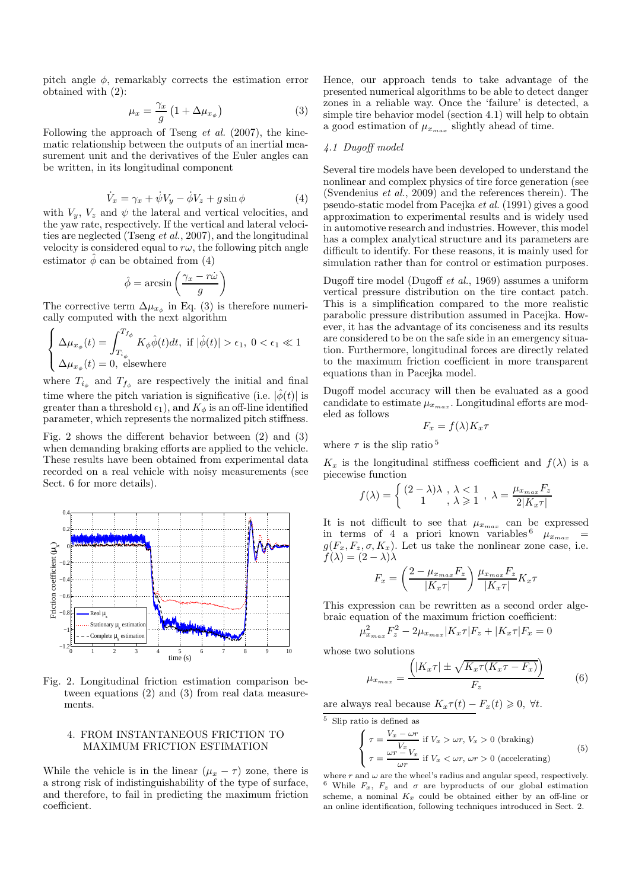pitch angle  $\phi$ , remarkably corrects the estimation error obtained with (2):

$$
\mu_x = \frac{\gamma_x}{g} \left( 1 + \Delta \mu_{x_{\phi}} \right) \tag{3}
$$

Following the approach of Tseng *et al.* (2007), the kinematic relationship between the outputs of an inertial measurement unit and the derivatives of the Euler angles can be written, in its longitudinal component

$$
\dot{V}_x = \gamma_x + \dot{\psi} V_y - \dot{\phi} V_z + g \sin \phi \tag{4}
$$

with  $V_y$ ,  $V_z$  and  $\psi$  the lateral and vertical velocities, and the yaw rate, respectively. If the vertical and lateral velocities are neglected (Tseng *et al.*, 2007), and the longitudinal velocity is considered equal to  $r\omega$ , the following pitch angle estimator  $\hat{\phi}$  can be obtained from (4)

$$
\hat{\phi} = \arcsin\left(\frac{\gamma_x - r\dot{\omega}}{g}\right)
$$

The corrective term  $\Delta \mu_{x_{\phi}}$  in Eq. (3) is therefore numerically computed with the next algorithm

$$
\begin{cases} \Delta \mu_{x_{\phi}}(t) = \displaystyle\int_{T_{i_{\phi}}}^{T_{f_{\phi}}} K_{\phi} \hat{\phi}(t) dt, \text{ if } |\hat{\phi}(t)| > \epsilon_1, \ 0 < \epsilon_1 \ll 1\\ \Delta \mu_{x_{\phi}}(t) = 0, \text{ elsewhere} \end{cases}
$$

where  $T_{i_{\phi}}$  and  $T_{f_{\phi}}$  are respectively the initial and final time where the pitch variation is significative (i.e.  $|\phi(t)|$  is greater than a threshold  $\epsilon_1$ ), and  $K_{\phi}$  is an off-line identified parameter, which represents the normalized pitch stiffness.

Fig. 2 shows the different behavior between (2) and (3) when demanding braking efforts are applied to the vehicle. These results have been obtained from experimental data recorded on a real vehicle with noisy measurements (see Sect. 6 for more details).



Fig. 2. Longitudinal friction estimation comparison between equations (2) and (3) from real data measurements.

### 4. FROM INSTANTANEOUS FRICTION TO MAXIMUM FRICTION ESTIMATION

While the vehicle is in the linear  $(\mu_x - \tau)$  zone, there is a strong risk of indistinguishability of the type of surface, and therefore, to fail in predicting the maximum friction coefficient.

Hence, our approach tends to take advantage of the presented numerical algorithms to be able to detect danger zones in a reliable way. Once the 'failure' is detected, a simple tire behavior model (section 4.1) will help to obtain a good estimation of  $\mu_{x_{max}}$  slightly ahead of time.

#### *4.1 Dugoff model*

Several tire models have been developed to understand the nonlinear and complex physics of tire force generation (see (Svendenius *et al.*, 2009) and the references therein). The pseudo-static model from Pacejka *et al.* (1991) gives a good approximation to experimental results and is widely used in automotive research and industries. However, this model has a complex analytical structure and its parameters are difficult to identify. For these reasons, it is mainly used for simulation rather than for control or estimation purposes.

Dugoff tire model (Dugoff *et al.*, 1969) assumes a uniform vertical pressure distribution on the tire contact patch. This is a simplification compared to the more realistic parabolic pressure distribution assumed in Pacejka. However, it has the advantage of its conciseness and its results are considered to be on the safe side in an emergency situation. Furthermore, longitudinal forces are directly related to the maximum friction coefficient in more transparent equations than in Pacejka model.

Dugoff model accuracy will then be evaluated as a good candidate to estimate  $\mu_{x_{max}}$ . Longitudinal efforts are modeled as follows

$$
F_x = f(\lambda)K_x \tau
$$

where  $\tau$  is the slip ratio<sup>5</sup>

 $K_x$  is the longitudinal stiffness coefficient and  $f(\lambda)$  is a piecewise function

$$
f(\lambda) = \begin{cases} (2 - \lambda)\lambda, & \lambda < 1 \\ 1, & \lambda \geq 1 \end{cases}, \lambda = \frac{\mu_{x_{max}} F_z}{2|K_x \tau|}
$$

It is not difficult to see that  $\mu_{x_{max}}$  can be expressed in terms of 4 a priori known variables  $\mu_{x_{max}}$  =  $g(F_x, F_z, \sigma, K_x)$ . Let us take the nonlinear zone case, i.e.  $f(\lambda) = (2 - \lambda)\lambda$ 

$$
F_x = \left(\frac{2 - \mu_{x_{max}} F_z}{|K_x \tau|}\right) \frac{\mu_{x_{max}} F_z}{|K_x \tau|} K_x \tau
$$

This expression can be rewritten as a second order algebraic equation of the maximum friction coefficient:

$$
\mu_{x_{max}}^2F_z^2-2\mu_{x_{max}}|K_x\tau|F_z+|K_x\tau|F_x=0
$$

whose two solutions

$$
\mu_{x_{max}} = \frac{\left( |K_x \tau| \pm \sqrt{K_x \tau (K_x \tau - F_x)} \right)}{F_z} \tag{6}
$$

are always real because  $K_x\tau(t) - F_x(t) \geq 0, \forall t$ .

 $\overline{5}$  Slip ratio is defined as

$$
\begin{cases}\n\tau = \frac{V_x - \omega r}{V_x} \text{ if } V_x > \omega r, V_x > 0 \text{ (braking)} \\
\tau = \frac{\omega r - V_x}{\omega r} \text{ if } V_x < \omega r, \ \omega r > 0 \text{ (accelerating)}\n\end{cases}
$$
\n(5)

where r and  $\omega$  are the wheel's radius and angular speed, respectively. <sup>6</sup> While  $F_x$ ,  $F_z$  and  $\sigma$  are byproducts of our global estimation scheme, a nominal  $K_x$  could be obtained either by an off-line or an online identification, following techniques introduced in Sect. 2.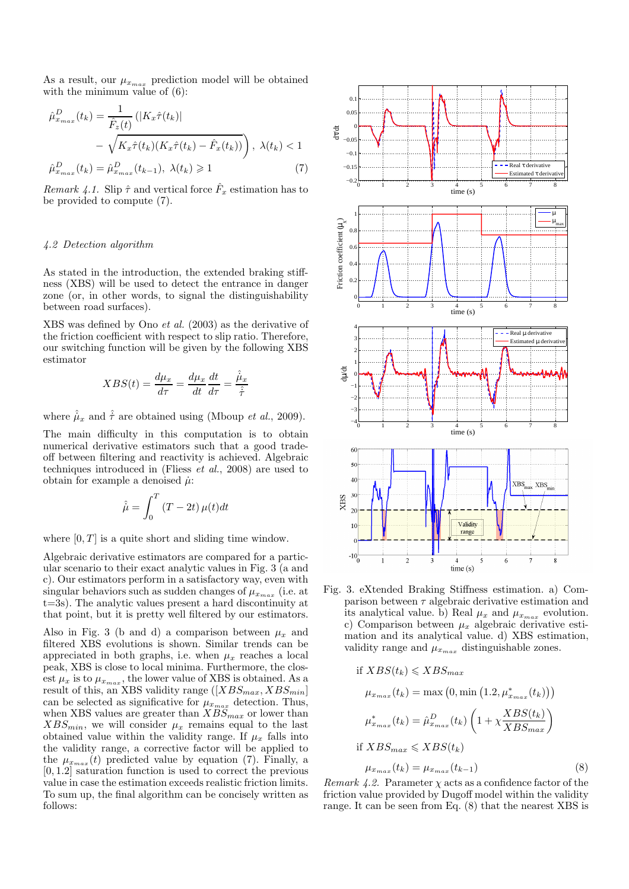As a result, our  $\mu_{x_{max}}$  prediction model will be obtained with the minimum value of  $(6)$ :

$$
\hat{\mu}_{x_{max}}^D(t_k) = \frac{1}{\hat{F}_z(t)} \left( |K_x \hat{\tau}(t_k)| - \sqrt{K_x \hat{\tau}(t_k)(K_x \hat{\tau}(t_k) - \hat{F}_x(t_k))} \right), \lambda(t_k) < 1
$$
\n
$$
\hat{\mu}_{x_{max}}^D(t_k) = \hat{\mu}_{x_{max}}^D(t_{k-1}), \lambda(t_k) \ge 1 \tag{7}
$$

*Remark 4.1.* Slip  $\hat{\tau}$  and vertical force  $\hat{F}_x$  estimation has to be provided to compute (7).

#### *4.2 Detection algorithm*

As stated in the introduction, the extended braking stiffness (XBS) will be used to detect the entrance in danger zone (or, in other words, to signal the distinguishability between road surfaces).

XBS was defined by Ono *et al.* (2003) as the derivative of the friction coefficient with respect to slip ratio. Therefore, our switching function will be given by the following XBS estimator

$$
XBS(t) = \frac{d\mu_x}{d\tau} = \frac{d\mu_x}{dt}\frac{dt}{d\tau} = \frac{\hat{\mu}_x}{\hat{\tau}}
$$

where  $\hat{\mu}_x$  and  $\hat{\tau}$  are obtained using (Mboup *et al.*, 2009).

The main difficulty in this computation is to obtain numerical derivative estimators such that a good tradeoff between filtering and reactivity is achieved. Algebraic techniques introduced in (Fliess *et al.*, 2008) are used to obtain for example a denoised  $\mu$ :

$$
\hat{\mu} = \int_0^T (T - 2t) \,\mu(t) dt
$$

where  $[0, T]$  is a quite short and sliding time window.

Algebraic derivative estimators are compared for a particular scenario to their exact analytic values in Fig. 3 (a and c). Our estimators perform in a satisfactory way, even with singular behaviors such as sudden changes of  $\mu_{x_{max}}$  (i.e. at t=3s). The analytic values present a hard discontinuity at that point, but it is pretty well filtered by our estimators.

Also in Fig. 3 (b and d) a comparison between  $\mu_x$  and filtered XBS evolutions is shown. Similar trends can be appreciated in both graphs, i.e. when  $\mu_x$  reaches a local peak, XBS is close to local minima. Furthermore, the closest  $\mu_x$  is to  $\mu_{x_{max}}$ , the lower value of XBS is obtained. As a result of this, an XBS validity range  $([XBS_{max}, XBS_{min}]$ can be selected as significative for  $\mu_{x_{max}}$  detection. Thus, when XBS values are greater than  $XBS_{max}$  or lower than  $XBS_{min}$ , we will consider  $\mu_x$  remains equal to the last obtained value within the validity range. If  $\mu_x$  falls into the validity range, a corrective factor will be applied to the  $\mu_{x_{max}}(t)$  predicted value by equation (7). Finally, a [0, 1.2] saturation function is used to correct the previous value in case the estimation exceeds realistic friction limits. To sum up, the final algorithm can be concisely written as follows:



Fig. 3. eXtended Braking Stiffness estimation. a) Comparison between  $\tau$  algebraic derivative estimation and its analytical value. b) Real  $\mu_x$  and  $\mu_{x_{max}}$  evolution. c) Comparison between  $\mu_x$  algebraic derivative estimation and its analytical value. d) XBS estimation, validity range and  $\mu_{x_{max}}$  distinguishable zones.

if 
$$
XBS(t_k) \leq XBS_{max}
$$
  
\n
$$
\mu_{x_{max}}(t_k) = \max (0, \min (1.2, \mu_{x_{max}}^*(t_k)))
$$
\n
$$
\mu_{x_{max}}^*(t_k) = \hat{\mu}_{x_{max}}^D(t_k) \left( 1 + \chi \frac{XBS(t_k)}{XBS_{max}} \right)
$$
\nif  $XBS_{max} \leq XBS(t_k)$   
\n
$$
\mu_{x_{max}}(t_k) = \mu_{x_{max}}(t_{k-1})
$$
\n(8)

*Remark 4.2.* Parameter  $\chi$  acts as a confidence factor of the friction value provided by Dugoff model within the validity range. It can be seen from Eq. (8) that the nearest XBS is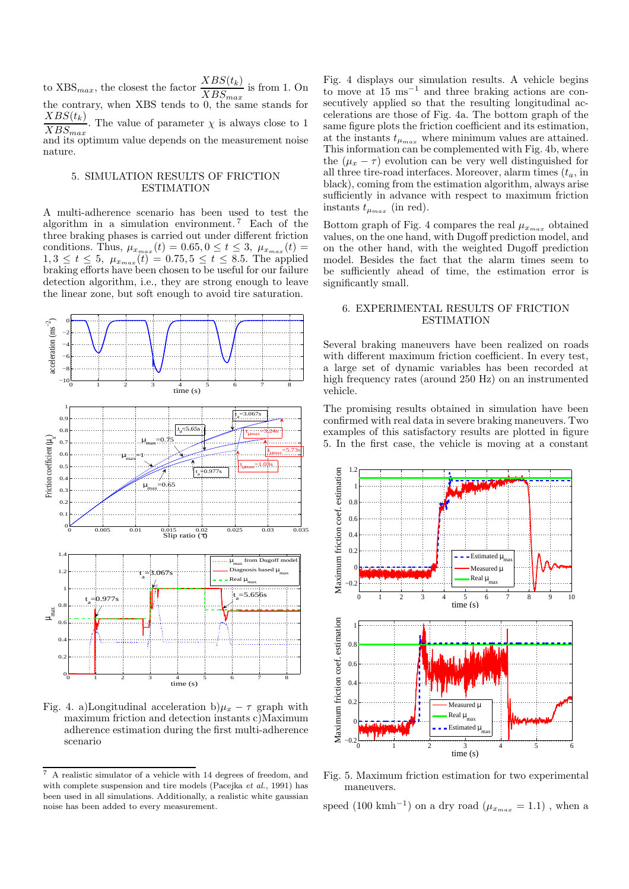to  $XBS_{max}$ , the closest the factor  $\frac{XBS(t_k)}{XBS_{max}}$  is from 1. On the contrary, when XBS tends to 0, the same stands for  $\frac{XBS(t_k)}{XBS(t)}$ . The value of parameter  $\chi$  is always close to 1  $XBS_{max}$ and its optimum value depends on the measurement noise nature.

#### 5. SIMULATION RESULTS OF FRICTION ESTIMATION

A multi-adherence scenario has been used to test the algorithm in a simulation environment.<sup>7</sup> Each of the three braking phases is carried out under different friction conditions. Thus,  $\mu_{x_{max}}(t) = 0.65, 0 \le t \le 3, \mu_{x_{max}}(t) =$  $1, 3 \le t \le 5$ ,  $\mu_{x_{max}}(t) = 0.75, 5 \le t \le 8.5$ . The applied braking efforts have been chosen to be useful for our failure detection algorithm, i.e., they are strong enough to leave the linear zone, but soft enough to avoid tire saturation.



Fig. 4. a)Longitudinal acceleration b) $\mu_x - \tau$  graph with maximum friction and detection instants c)Maximum adherence estimation during the first multi-adherence scenario

Fig. 4 displays our simulation results. A vehicle begins to move at  $15 \text{ ms}^{-1}$  and three braking actions are consecutively applied so that the resulting longitudinal accelerations are those of Fig. 4a. The bottom graph of the same figure plots the friction coefficient and its estimation, at the instants  $t_{\mu_{max}}$  where minimum values are attained. This information can be complemented with Fig. 4b, where the  $(\mu_x - \tau)$  evolution can be very well distinguished for all three tire-road interfaces. Moreover, alarm times  $(t_a)$ , in black), coming from the estimation algorithm, always arise sufficiently in advance with respect to maximum friction instants  $t_{\mu_{max}}$  (in red).

Bottom graph of Fig. 4 compares the real  $\mu_{x_{max}}$  obtained values, on the one hand, with Dugoff prediction model, and on the other hand, with the weighted Dugoff prediction model. Besides the fact that the alarm times seem to be sufficiently ahead of time, the estimation error is significantly small.

## 6. EXPERIMENTAL RESULTS OF FRICTION **ESTIMATION**

Several braking maneuvers have been realized on roads with different maximum friction coefficient. In every test, a large set of dynamic variables has been recorded at high frequency rates (around 250 Hz) on an instrumented vehicle.

The promising results obtained in simulation have been confirmed with real data in severe braking maneuvers. Two examples of this satisfactory results are plotted in figure 5. In the first case, the vehicle is moving at a constant



Fig. 5. Maximum friction estimation for two experimental maneuvers.

speed (100 kmh<sup>-1</sup>) on a dry road ( $\mu_{x_{max}} = 1.1$ ), when a

<sup>7</sup> A realistic simulator of a vehicle with 14 degrees of freedom, and with complete suspension and tire models (Pacejka et al., 1991) has been used in all simulations. Additionally, a realistic white gaussian noise has been added to every measurement.